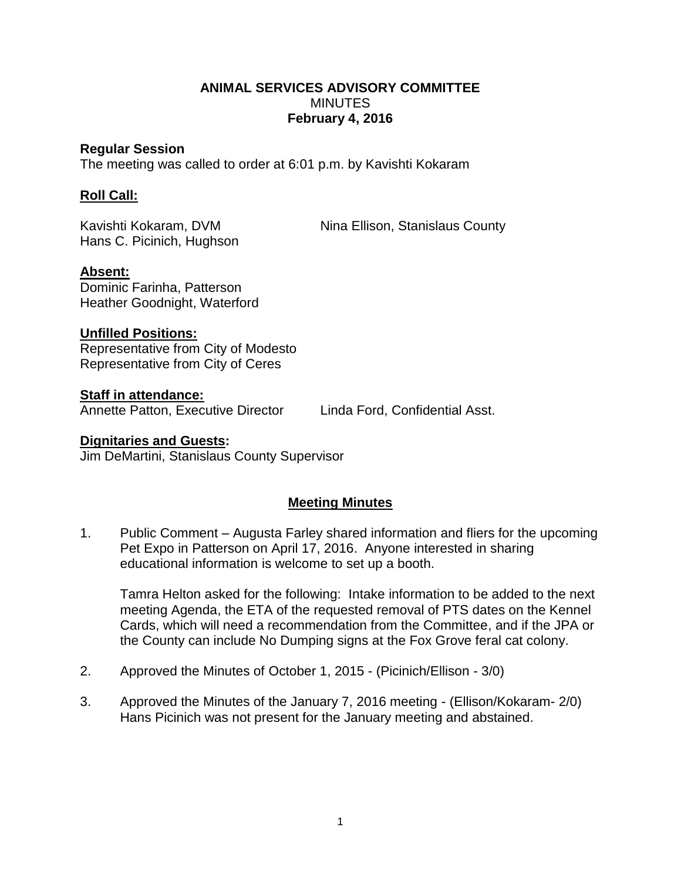# **ANIMAL SERVICES ADVISORY COMMITTEE MINUTES February 4, 2016**

#### **Regular Session**

The meeting was called to order at 6:01 p.m. by Kavishti Kokaram

## **Roll Call:**

Hans C. Picinich, Hughson

Kavishti Kokaram, DVM Nina Ellison, Stanislaus County

### **Absent:**

Dominic Farinha, Patterson Heather Goodnight, Waterford

### **Unfilled Positions:**

Representative from City of Modesto Representative from City of Ceres

### **Staff in attendance:**

Annette Patton, Executive Director Linda Ford, Confidential Asst.

#### **Dignitaries and Guests:** Jim DeMartini, Stanislaus County Supervisor

# **Meeting Minutes**

1. Public Comment – Augusta Farley shared information and fliers for the upcoming Pet Expo in Patterson on April 17, 2016. Anyone interested in sharing educational information is welcome to set up a booth.

Tamra Helton asked for the following: Intake information to be added to the next meeting Agenda, the ETA of the requested removal of PTS dates on the Kennel Cards, which will need a recommendation from the Committee, and if the JPA or the County can include No Dumping signs at the Fox Grove feral cat colony.

- 2. Approved the Minutes of October 1, 2015 (Picinich/Ellison 3/0)
- 3. Approved the Minutes of the January 7, 2016 meeting (Ellison/Kokaram- 2/0) Hans Picinich was not present for the January meeting and abstained.